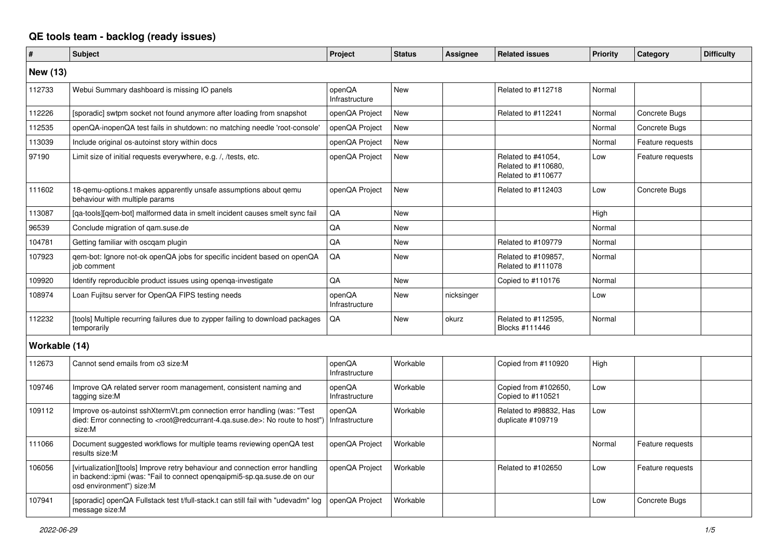## **QE tools team - backlog (ready issues)**

| #               | <b>Subject</b>                                                                                                                                                                                    | Project                  | <b>Status</b> | <b>Assignee</b> | <b>Related issues</b>                                           | Priority | Category         | <b>Difficulty</b> |
|-----------------|---------------------------------------------------------------------------------------------------------------------------------------------------------------------------------------------------|--------------------------|---------------|-----------------|-----------------------------------------------------------------|----------|------------------|-------------------|
| <b>New (13)</b> |                                                                                                                                                                                                   |                          |               |                 |                                                                 |          |                  |                   |
| 112733          | Webui Summary dashboard is missing IO panels                                                                                                                                                      | openQA<br>Infrastructure | <b>New</b>    |                 | Related to #112718                                              | Normal   |                  |                   |
| 112226          | [sporadic] swtpm socket not found anymore after loading from snapshot                                                                                                                             | openQA Project           | <b>New</b>    |                 | Related to #112241                                              | Normal   | Concrete Bugs    |                   |
| 112535          | openQA-inopenQA test fails in shutdown: no matching needle 'root-console'                                                                                                                         | openQA Project           | <b>New</b>    |                 |                                                                 | Normal   | Concrete Bugs    |                   |
| 113039          | Include original os-autoinst story within docs                                                                                                                                                    | openQA Project           | New           |                 |                                                                 | Normal   | Feature requests |                   |
| 97190           | Limit size of initial requests everywhere, e.g. /, /tests, etc.                                                                                                                                   | openQA Project           | New           |                 | Related to #41054,<br>Related to #110680,<br>Related to #110677 | Low      | Feature requests |                   |
| 111602          | 18-gemu-options.t makes apparently unsafe assumptions about gemu<br>behaviour with multiple params                                                                                                | openQA Project           | New           |                 | Related to #112403                                              | Low      | Concrete Bugs    |                   |
| 113087          | [ga-tools][gem-bot] malformed data in smelt incident causes smelt sync fail                                                                                                                       | QA                       | <b>New</b>    |                 |                                                                 | High     |                  |                   |
| 96539           | Conclude migration of gam.suse.de                                                                                                                                                                 | QA                       | <b>New</b>    |                 |                                                                 | Normal   |                  |                   |
| 104781          | Getting familiar with oscgam plugin                                                                                                                                                               | QA                       | <b>New</b>    |                 | Related to #109779                                              | Normal   |                  |                   |
| 107923          | gem-bot: Ignore not-ok openQA jobs for specific incident based on openQA<br>iob comment                                                                                                           | QA                       | New           |                 | Related to #109857,<br>Related to #111078                       | Normal   |                  |                   |
| 109920          | Identify reproducible product issues using openga-investigate                                                                                                                                     | QA                       | <b>New</b>    |                 | Copied to #110176                                               | Normal   |                  |                   |
| 108974          | Loan Fujitsu server for OpenQA FIPS testing needs                                                                                                                                                 | openQA<br>Infrastructure | New           | nicksinger      |                                                                 | Low      |                  |                   |
| 112232          | [tools] Multiple recurring failures due to zypper failing to download packages<br>temporarily                                                                                                     | QA                       | New           | okurz           | Related to #112595,<br>Blocks #111446                           | Normal   |                  |                   |
| Workable (14)   |                                                                                                                                                                                                   |                          |               |                 |                                                                 |          |                  |                   |
| 112673          | Cannot send emails from o3 size:M                                                                                                                                                                 | openQA<br>Infrastructure | Workable      |                 | Copied from #110920                                             | High     |                  |                   |
| 109746          | Improve QA related server room management, consistent naming and<br>tagging size:M                                                                                                                | openQA<br>Infrastructure | Workable      |                 | Copied from #102650,<br>Copied to #110521                       | Low      |                  |                   |
| 109112          | Improve os-autoinst sshXtermVt.pm connection error handling (was: "Test<br>died: Error connecting to <root@redcurrant-4.ga.suse.de>: No route to host")<br/>size:M</root@redcurrant-4.ga.suse.de> | openQA<br>Infrastructure | Workable      |                 | Related to #98832, Has<br>duplicate #109719                     | Low      |                  |                   |
| 111066          | Document suggested workflows for multiple teams reviewing openQA test<br>results size:M                                                                                                           | openQA Project           | Workable      |                 |                                                                 | Normal   | Feature requests |                   |
| 106056          | [virtualization][tools] Improve retry behaviour and connection error handling<br>in backend::ipmi (was: "Fail to connect opengaipmi5-sp.ga.suse.de on our<br>osd environment") size:M             | openQA Project           | Workable      |                 | Related to #102650                                              | Low      | Feature requests |                   |
| 107941          | [sporadic] openQA Fullstack test t/full-stack.t can still fail with "udevadm" log<br>message size:M                                                                                               | openQA Project           | Workable      |                 |                                                                 | Low      | Concrete Bugs    |                   |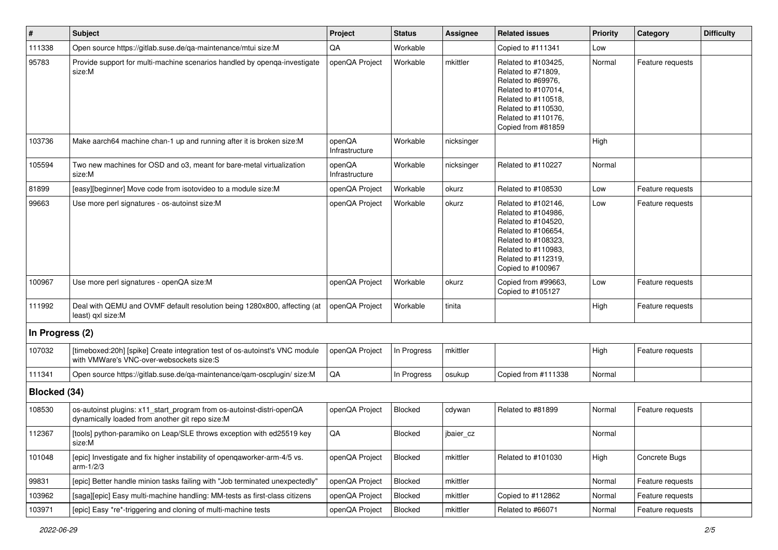| $\pmb{\#}$      | Subject                                                                                                                  | Project                  | <b>Status</b> | <b>Assignee</b> | <b>Related issues</b>                                                                                                                                                              | <b>Priority</b> | Category         | <b>Difficulty</b> |
|-----------------|--------------------------------------------------------------------------------------------------------------------------|--------------------------|---------------|-----------------|------------------------------------------------------------------------------------------------------------------------------------------------------------------------------------|-----------------|------------------|-------------------|
| 111338          | Open source https://gitlab.suse.de/qa-maintenance/mtui size:M                                                            | QA                       | Workable      |                 | Copied to #111341                                                                                                                                                                  | Low             |                  |                   |
| 95783           | Provide support for multi-machine scenarios handled by openga-investigate<br>size:M                                      | openQA Project           | Workable      | mkittler        | Related to #103425,<br>Related to #71809,<br>Related to #69976,<br>Related to #107014,<br>Related to #110518,<br>Related to #110530,<br>Related to #110176.<br>Copied from #81859  | Normal          | Feature requests |                   |
| 103736          | Make aarch64 machine chan-1 up and running after it is broken size:M                                                     | openQA<br>Infrastructure | Workable      | nicksinger      |                                                                                                                                                                                    | High            |                  |                   |
| 105594          | Two new machines for OSD and o3, meant for bare-metal virtualization<br>size:M                                           | openQA<br>Infrastructure | Workable      | nicksinger      | Related to #110227                                                                                                                                                                 | Normal          |                  |                   |
| 81899           | [easy][beginner] Move code from isotovideo to a module size:M                                                            | openQA Project           | Workable      | okurz           | Related to #108530                                                                                                                                                                 | Low             | Feature requests |                   |
| 99663           | Use more perl signatures - os-autoinst size:M                                                                            | openQA Project           | Workable      | okurz           | Related to #102146,<br>Related to #104986,<br>Related to #104520,<br>Related to #106654,<br>Related to #108323,<br>Related to #110983,<br>Related to #112319,<br>Copied to #100967 | Low             | Feature requests |                   |
| 100967          | Use more perl signatures - openQA size:M                                                                                 | openQA Project           | Workable      | okurz           | Copied from #99663,<br>Copied to #105127                                                                                                                                           | Low             | Feature requests |                   |
| 111992          | Deal with QEMU and OVMF default resolution being 1280x800, affecting (at<br>least) qxl size:M                            | openQA Project           | Workable      | tinita          |                                                                                                                                                                                    | High            | Feature requests |                   |
| In Progress (2) |                                                                                                                          |                          |               |                 |                                                                                                                                                                                    |                 |                  |                   |
| 107032          | [timeboxed:20h] [spike] Create integration test of os-autoinst's VNC module<br>with VMWare's VNC-over-websockets size:S  | openQA Project           | In Progress   | mkittler        |                                                                                                                                                                                    | High            | Feature requests |                   |
| 111341          | Open source https://gitlab.suse.de/qa-maintenance/qam-oscplugin/ size:M                                                  | QA                       | In Progress   | osukup          | Copied from #111338                                                                                                                                                                | Normal          |                  |                   |
| Blocked (34)    |                                                                                                                          |                          |               |                 |                                                                                                                                                                                    |                 |                  |                   |
| 108530          | os-autoinst plugins: x11_start_program from os-autoinst-distri-openQA<br>dynamically loaded from another git repo size:M | openQA Project           | Blocked       | cdywan          | Related to #81899                                                                                                                                                                  | Normal          | Feature requests |                   |
| 112367          | [tools] python-paramiko on Leap/SLE throws exception with ed25519 key<br>size:M                                          | QA                       | Blocked       | jbaier cz       |                                                                                                                                                                                    | Normal          |                  |                   |
| 101048          | [epic] Investigate and fix higher instability of openqaworker-arm-4/5 vs.<br>arm- $1/2/3$                                | openQA Project           | Blocked       | mkittler        | Related to #101030                                                                                                                                                                 | High            | Concrete Bugs    |                   |
| 99831           | [epic] Better handle minion tasks failing with "Job terminated unexpectedly"                                             | openQA Project           | Blocked       | mkittler        |                                                                                                                                                                                    | Normal          | Feature requests |                   |
| 103962          | [saga][epic] Easy multi-machine handling: MM-tests as first-class citizens                                               | openQA Project           | Blocked       | mkittler        | Copied to #112862                                                                                                                                                                  | Normal          | Feature requests |                   |
| 103971          | [epic] Easy *re*-triggering and cloning of multi-machine tests                                                           | openQA Project           | Blocked       | mkittler        | Related to #66071                                                                                                                                                                  | Normal          | Feature requests |                   |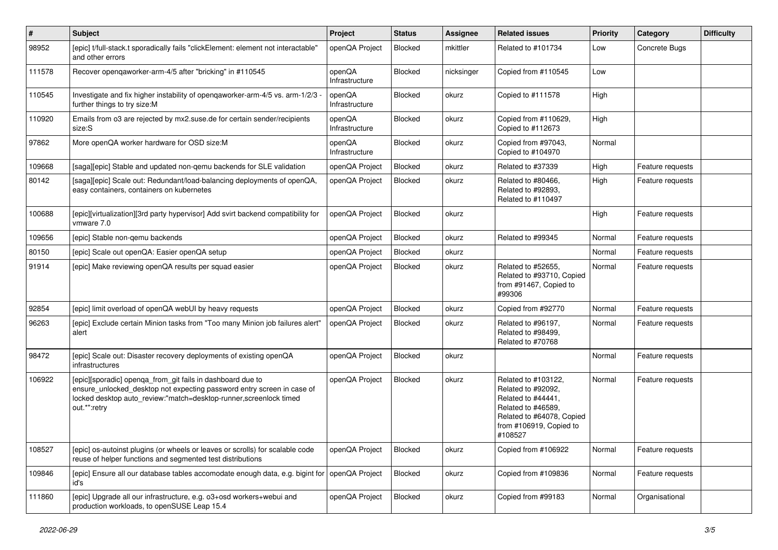| #      | Subject                                                                                                                                                                                                                   | Project                  | <b>Status</b> | <b>Assignee</b> | <b>Related issues</b>                                                                                                                                    | <b>Priority</b> | Category         | <b>Difficulty</b> |
|--------|---------------------------------------------------------------------------------------------------------------------------------------------------------------------------------------------------------------------------|--------------------------|---------------|-----------------|----------------------------------------------------------------------------------------------------------------------------------------------------------|-----------------|------------------|-------------------|
| 98952  | [epic] t/full-stack.t sporadically fails "clickElement: element not interactable"<br>and other errors                                                                                                                     | openQA Project           | Blocked       | mkittler        | Related to #101734                                                                                                                                       | Low             | Concrete Bugs    |                   |
| 111578 | Recover openqaworker-arm-4/5 after "bricking" in #110545                                                                                                                                                                  | openQA<br>Infrastructure | Blocked       | nicksinger      | Copied from #110545                                                                                                                                      | Low             |                  |                   |
| 110545 | Investigate and fix higher instability of openqaworker-arm-4/5 vs. arm-1/2/3<br>further things to try size:M                                                                                                              | openQA<br>Infrastructure | Blocked       | okurz           | Copied to #111578                                                                                                                                        | High            |                  |                   |
| 110920 | Emails from o3 are rejected by mx2.suse.de for certain sender/recipients<br>size:S                                                                                                                                        | openQA<br>Infrastructure | Blocked       | okurz           | Copied from #110629,<br>Copied to #112673                                                                                                                | High            |                  |                   |
| 97862  | More openQA worker hardware for OSD size:M                                                                                                                                                                                | openQA<br>Infrastructure | Blocked       | okurz           | Copied from #97043,<br>Copied to #104970                                                                                                                 | Normal          |                  |                   |
| 109668 | [saga][epic] Stable and updated non-gemu backends for SLE validation                                                                                                                                                      | openQA Project           | Blocked       | okurz           | Related to #37339                                                                                                                                        | High            | Feature requests |                   |
| 80142  | [saga][epic] Scale out: Redundant/load-balancing deployments of openQA,<br>easy containers, containers on kubernetes                                                                                                      | openQA Project           | Blocked       | okurz           | Related to #80466,<br>Related to #92893,<br>Related to #110497                                                                                           | High            | Feature requests |                   |
| 100688 | [epic][virtualization][3rd party hypervisor] Add svirt backend compatibility for<br>vmware 7.0                                                                                                                            | openQA Project           | Blocked       | okurz           |                                                                                                                                                          | High            | Feature requests |                   |
| 109656 | [epic] Stable non-gemu backends                                                                                                                                                                                           | openQA Project           | Blocked       | okurz           | Related to #99345                                                                                                                                        | Normal          | Feature requests |                   |
| 80150  | [epic] Scale out openQA: Easier openQA setup                                                                                                                                                                              | openQA Project           | Blocked       | okurz           |                                                                                                                                                          | Normal          | Feature requests |                   |
| 91914  | [epic] Make reviewing openQA results per squad easier                                                                                                                                                                     | openQA Project           | Blocked       | okurz           | Related to #52655,<br>Related to #93710, Copied<br>from #91467, Copied to<br>#99306                                                                      | Normal          | Feature requests |                   |
| 92854  | [epic] limit overload of openQA webUI by heavy requests                                                                                                                                                                   | openQA Project           | Blocked       | okurz           | Copied from #92770                                                                                                                                       | Normal          | Feature requests |                   |
| 96263  | [epic] Exclude certain Minion tasks from "Too many Minion job failures alert"<br>alert                                                                                                                                    | openQA Project           | Blocked       | okurz           | Related to #96197,<br>Related to #98499,<br>Related to #70768                                                                                            | Normal          | Feature requests |                   |
| 98472  | [epic] Scale out: Disaster recovery deployments of existing openQA<br>infrastructures                                                                                                                                     | openQA Project           | Blocked       | okurz           |                                                                                                                                                          | Normal          | Feature requests |                   |
| 106922 | [epic][sporadic] openqa_from_git fails in dashboard due to<br>ensure_unlocked_desktop not expecting password entry screen in case of<br>locked desktop auto_review:"match=desktop-runner,screenlock timed<br>out.*":retry | openQA Project           | Blocked       | okurz           | Related to #103122,<br>Related to #92092,<br>Related to #44441,<br>Related to #46589,<br>Related to #64078, Copied<br>from #106919, Copied to<br>#108527 | Normal          | Feature requests |                   |
| 108527 | [epic] os-autoinst plugins (or wheels or leaves or scrolls) for scalable code<br>reuse of helper functions and segmented test distributions                                                                               | openQA Project           | Blocked       | okurz           | Copied from #106922                                                                                                                                      | Normal          | Feature requests |                   |
| 109846 | [epic] Ensure all our database tables accomodate enough data, e.g. bigint for openQA Project<br>id's                                                                                                                      |                          | Blocked       | okurz           | Copied from #109836                                                                                                                                      | Normal          | Feature requests |                   |
| 111860 | [epic] Upgrade all our infrastructure, e.g. o3+osd workers+webui and<br>production workloads, to openSUSE Leap 15.4                                                                                                       | openQA Project           | Blocked       | okurz           | Copied from #99183                                                                                                                                       | Normal          | Organisational   |                   |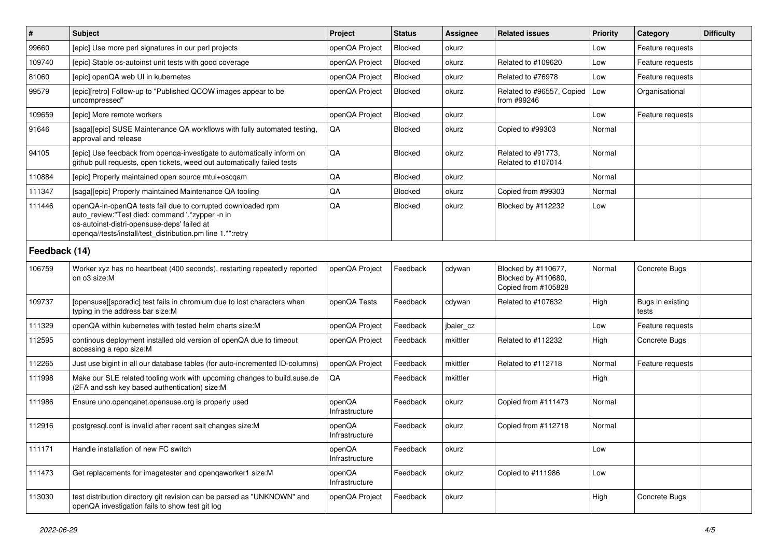| #             | <b>Subject</b>                                                                                                                                                                                                              | Project                  | <b>Status</b> | <b>Assignee</b> | <b>Related issues</b>                                             | Priority | Category                  | <b>Difficulty</b> |
|---------------|-----------------------------------------------------------------------------------------------------------------------------------------------------------------------------------------------------------------------------|--------------------------|---------------|-----------------|-------------------------------------------------------------------|----------|---------------------------|-------------------|
| 99660         | [epic] Use more perl signatures in our perl projects                                                                                                                                                                        | openQA Project           | Blocked       | okurz           |                                                                   | Low      | Feature requests          |                   |
| 109740        | [epic] Stable os-autoinst unit tests with good coverage                                                                                                                                                                     | openQA Project           | Blocked       | okurz           | Related to #109620                                                | Low      | Feature requests          |                   |
| 81060         | [epic] openQA web UI in kubernetes                                                                                                                                                                                          | openQA Project           | Blocked       | okurz           | Related to #76978                                                 | Low      | Feature requests          |                   |
| 99579         | [epic][retro] Follow-up to "Published QCOW images appear to be<br>uncompressed"                                                                                                                                             | openQA Project           | Blocked       | okurz           | Related to #96557, Copied<br>from #99246                          | Low      | Organisational            |                   |
| 109659        | [epic] More remote workers                                                                                                                                                                                                  | openQA Project           | Blocked       | okurz           |                                                                   | Low      | Feature requests          |                   |
| 91646         | [saga][epic] SUSE Maintenance QA workflows with fully automated testing,<br>approval and release                                                                                                                            | QA                       | Blocked       | okurz           | Copied to #99303                                                  | Normal   |                           |                   |
| 94105         | [epic] Use feedback from openqa-investigate to automatically inform on<br>github pull requests, open tickets, weed out automatically failed tests                                                                           | QA                       | Blocked       | okurz           | Related to #91773,<br>Related to #107014                          | Normal   |                           |                   |
| 110884        | [epic] Properly maintained open source mtui+oscgam                                                                                                                                                                          | $\mathsf{QA}$            | Blocked       | okurz           |                                                                   | Normal   |                           |                   |
| 111347        | [saga][epic] Properly maintained Maintenance QA tooling                                                                                                                                                                     | $\mathsf{QA}$            | Blocked       | okurz           | Copied from #99303                                                | Normal   |                           |                   |
| 111446        | openQA-in-openQA tests fail due to corrupted downloaded rpm<br>auto_review:"Test died: command '.*zypper -n in<br>os-autoinst-distri-opensuse-deps' failed at<br>openqa//tests/install/test_distribution.pm line 1.*":retry | QA                       | Blocked       | okurz           | Blocked by #112232                                                | Low      |                           |                   |
| Feedback (14) |                                                                                                                                                                                                                             |                          |               |                 |                                                                   |          |                           |                   |
| 106759        | Worker xyz has no heartbeat (400 seconds), restarting repeatedly reported<br>on o3 size:M                                                                                                                                   | openQA Project           | Feedback      | cdywan          | Blocked by #110677,<br>Blocked by #110680,<br>Copied from #105828 | Normal   | Concrete Bugs             |                   |
| 109737        | [opensuse][sporadic] test fails in chromium due to lost characters when<br>typing in the address bar size:M                                                                                                                 | openQA Tests             | Feedback      | cdywan          | Related to #107632                                                | High     | Bugs in existing<br>tests |                   |
| 111329        | openQA within kubernetes with tested helm charts size:M                                                                                                                                                                     | openQA Project           | Feedback      | jbaier_cz       |                                                                   | Low      | Feature requests          |                   |
| 112595        | continous deployment installed old version of openQA due to timeout<br>accessing a repo size:M                                                                                                                              | openQA Project           | Feedback      | mkittler        | Related to #112232                                                | High     | Concrete Bugs             |                   |
| 112265        | Just use bigint in all our database tables (for auto-incremented ID-columns)                                                                                                                                                | openQA Project           | Feedback      | mkittler        | Related to #112718                                                | Normal   | Feature requests          |                   |
| 111998        | Make our SLE related tooling work with upcoming changes to build.suse.de<br>(2FA and ssh key based authentication) size:M                                                                                                   | QA                       | Feedback      | mkittler        |                                                                   | High     |                           |                   |
| 111986        | Ensure uno.openganet.opensuse.org is properly used                                                                                                                                                                          | openQA<br>Infrastructure | Feedback      | okurz           | Copied from #111473                                               | Normal   |                           |                   |
| 112916        | postgresql.conf is invalid after recent salt changes size:M                                                                                                                                                                 | openQA<br>Infrastructure | Feedback      | okurz           | Copied from #112718                                               | Normal   |                           |                   |
| 111171        | Handle installation of new FC switch                                                                                                                                                                                        | openQA<br>Infrastructure | Feedback      | okurz           |                                                                   | Low      |                           |                   |
| 111473        | Get replacements for imagetester and openqaworker1 size:M                                                                                                                                                                   | openQA<br>Infrastructure | Feedback      | okurz           | Copied to #111986                                                 | Low      |                           |                   |
| 113030        | test distribution directory git revision can be parsed as "UNKNOWN" and<br>openQA investigation fails to show test git log                                                                                                  | openQA Project           | Feedback      | okurz           |                                                                   | High     | Concrete Bugs             |                   |